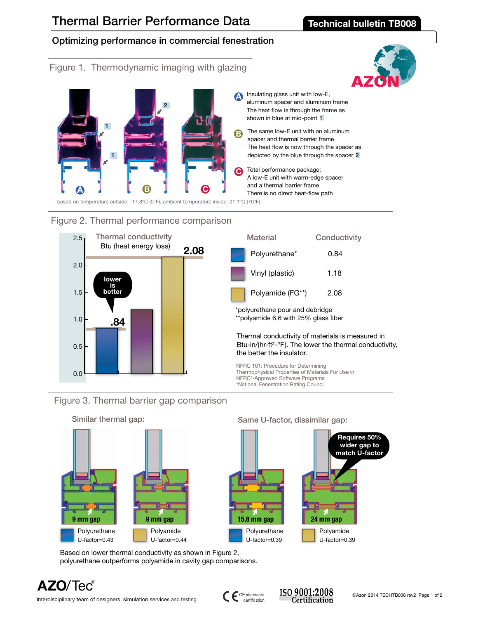## Optimizing performance in commercial fenestration







Figure 2. Thermal performance comparison







Based on lower thermal conductivity as shown in Figure 2, polyurethane outperforms polyamide in cavity gap comparisons.

Similar thermal gap: Same U-factor, dissimilar gap:

## **AZO**/Tec®